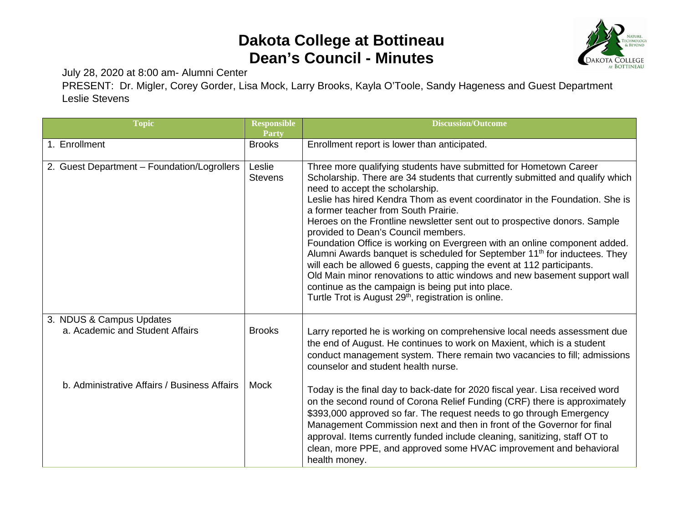## **Dakota College at Bottineau Dean's Council - Minutes**



July 28, 2020 at 8:00 am- Alumni Center

PRESENT: Dr. Migler, Corey Gorder, Lisa Mock, Larry Brooks, Kayla O'Toole, Sandy Hageness and Guest Department Leslie Stevens

| <b>Topic</b>                                                | <b>Responsible</b><br>Party | <b>Discussion/Outcome</b>                                                                                                                                                                                                                                                                                                                                                                                                                                                                                                                                                                                                                                                                                                                                                                                                                                                             |
|-------------------------------------------------------------|-----------------------------|---------------------------------------------------------------------------------------------------------------------------------------------------------------------------------------------------------------------------------------------------------------------------------------------------------------------------------------------------------------------------------------------------------------------------------------------------------------------------------------------------------------------------------------------------------------------------------------------------------------------------------------------------------------------------------------------------------------------------------------------------------------------------------------------------------------------------------------------------------------------------------------|
| 1. Enrollment                                               | <b>Brooks</b>               | Enrollment report is lower than anticipated.                                                                                                                                                                                                                                                                                                                                                                                                                                                                                                                                                                                                                                                                                                                                                                                                                                          |
| 2. Guest Department - Foundation/Logrollers                 | Leslie<br><b>Stevens</b>    | Three more qualifying students have submitted for Hometown Career<br>Scholarship. There are 34 students that currently submitted and qualify which<br>need to accept the scholarship.<br>Leslie has hired Kendra Thom as event coordinator in the Foundation. She is<br>a former teacher from South Prairie.<br>Heroes on the Frontline newsletter sent out to prospective donors. Sample<br>provided to Dean's Council members.<br>Foundation Office is working on Evergreen with an online component added.<br>Alumni Awards banquet is scheduled for September 11 <sup>th</sup> for inductees. They<br>will each be allowed 6 guests, capping the event at 112 participants.<br>Old Main minor renovations to attic windows and new basement support wall<br>continue as the campaign is being put into place.<br>Turtle Trot is August 29 <sup>th</sup> , registration is online. |
| 3. NDUS & Campus Updates<br>a. Academic and Student Affairs | <b>Brooks</b>               | Larry reported he is working on comprehensive local needs assessment due<br>the end of August. He continues to work on Maxient, which is a student<br>conduct management system. There remain two vacancies to fill; admissions<br>counselor and student health nurse.                                                                                                                                                                                                                                                                                                                                                                                                                                                                                                                                                                                                                |
| b. Administrative Affairs / Business Affairs                | Mock                        | Today is the final day to back-date for 2020 fiscal year. Lisa received word<br>on the second round of Corona Relief Funding (CRF) there is approximately<br>\$393,000 approved so far. The request needs to go through Emergency<br>Management Commission next and then in front of the Governor for final<br>approval. Items currently funded include cleaning, sanitizing, staff OT to<br>clean, more PPE, and approved some HVAC improvement and behavioral<br>health money.                                                                                                                                                                                                                                                                                                                                                                                                      |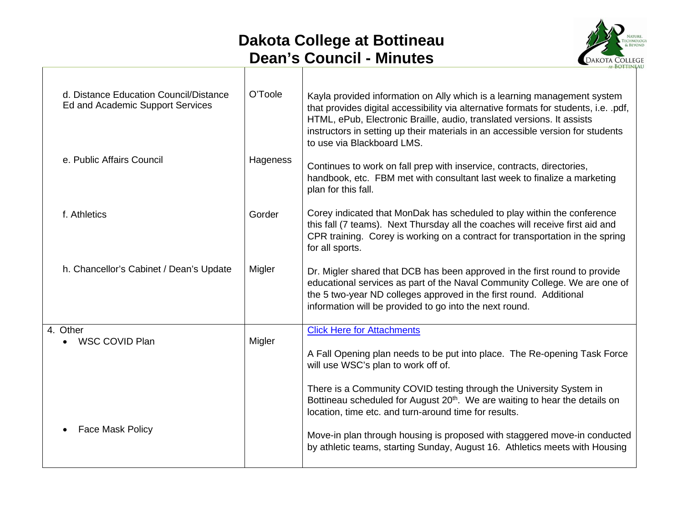## **Dakota College at Bottineau Dean's Council - Minutes**



| d. Distance Education Council/Distance<br>Ed and Academic Support Services | O'Toole  | Kayla provided information on Ally which is a learning management system<br>that provides digital accessibility via alternative formats for students, i.e. .pdf,<br>HTML, ePub, Electronic Braille, audio, translated versions. It assists<br>instructors in setting up their materials in an accessible version for students<br>to use via Blackboard LMS. |
|----------------------------------------------------------------------------|----------|-------------------------------------------------------------------------------------------------------------------------------------------------------------------------------------------------------------------------------------------------------------------------------------------------------------------------------------------------------------|
| e. Public Affairs Council                                                  | Hageness | Continues to work on fall prep with inservice, contracts, directories,<br>handbook, etc. FBM met with consultant last week to finalize a marketing<br>plan for this fall.                                                                                                                                                                                   |
| f. Athletics                                                               | Gorder   | Corey indicated that MonDak has scheduled to play within the conference<br>this fall (7 teams). Next Thursday all the coaches will receive first aid and<br>CPR training. Corey is working on a contract for transportation in the spring<br>for all sports.                                                                                                |
| h. Chancellor's Cabinet / Dean's Update                                    | Migler   | Dr. Migler shared that DCB has been approved in the first round to provide<br>educational services as part of the Naval Community College. We are one of<br>the 5 two-year ND colleges approved in the first round. Additional<br>information will be provided to go into the next round.                                                                   |
| 4. Other<br>WSC COVID Plan                                                 | Migler   | <b>Click Here for Attachments</b><br>A Fall Opening plan needs to be put into place. The Re-opening Task Force<br>will use WSC's plan to work off of.                                                                                                                                                                                                       |
|                                                                            |          | There is a Community COVID testing through the University System in<br>Bottineau scheduled for August 20 <sup>th</sup> . We are waiting to hear the details on<br>location, time etc. and turn-around time for results.                                                                                                                                     |
| <b>Face Mask Policy</b>                                                    |          | Move-in plan through housing is proposed with staggered move-in conducted<br>by athletic teams, starting Sunday, August 16. Athletics meets with Housing                                                                                                                                                                                                    |